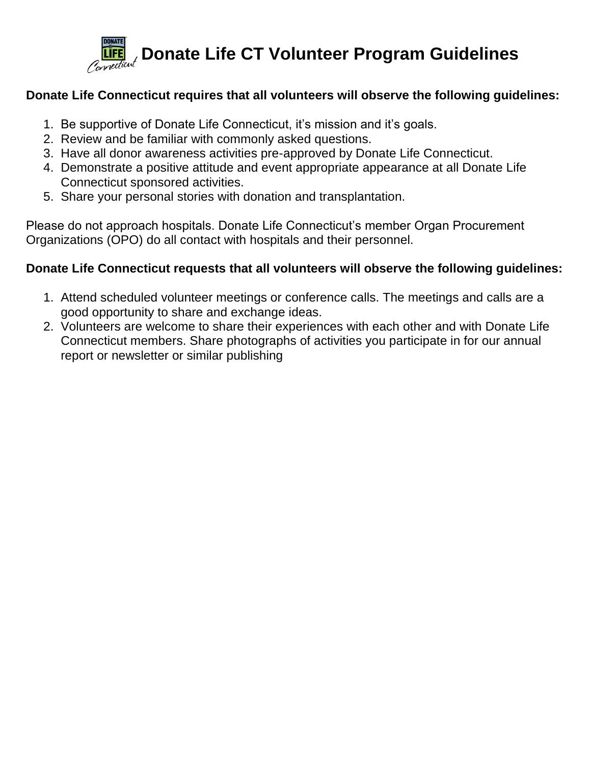

# **Donate Life Connecticut requires that all volunteers will observe the following guidelines:**

- 1. Be supportive of Donate Life Connecticut, it's mission and it's goals.
- 2. Review and be familiar with commonly asked questions.
- 3. Have all donor awareness activities pre-approved by Donate Life Connecticut.
- 4. Demonstrate a positive attitude and event appropriate appearance at all Donate Life Connecticut sponsored activities.
- 5. Share your personal stories with donation and transplantation.

Please do not approach hospitals. Donate Life Connecticut's member Organ Procurement Organizations (OPO) do all contact with hospitals and their personnel.

# **Donate Life Connecticut requests that all volunteers will observe the following guidelines:**

- 1. Attend scheduled volunteer meetings or conference calls. The meetings and calls are a good opportunity to share and exchange ideas.
- 2. Volunteers are welcome to share their experiences with each other and with Donate Life Connecticut members. Share photographs of activities you participate in for our annual report or newsletter or similar publishing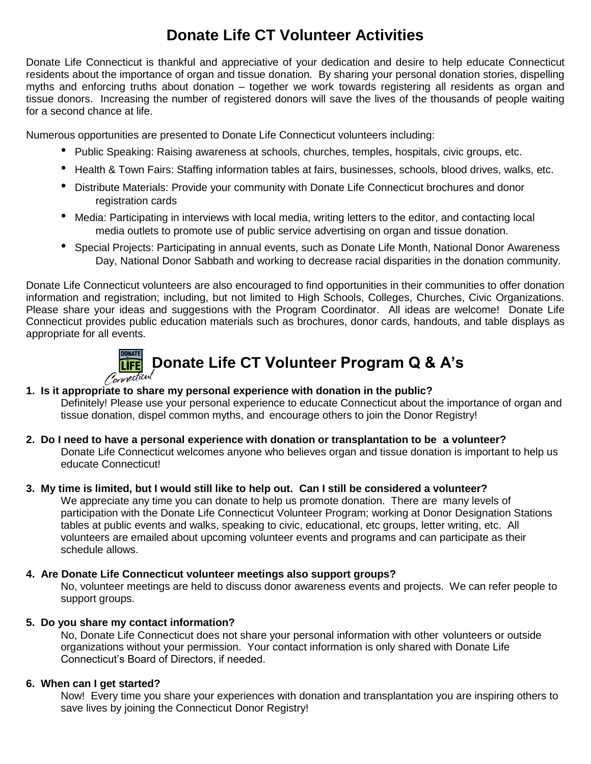# **Donate Life CT Volunteer Activities**

Donate Life Connecticut is thankful and appreciative of your dedication and desire to help educate Connecticut residents about the importance of organ and tissue donation. By sharing your personal donation stories, dispelling myths and enforcing truths about donation – together we work towards registering all residents as organ and tissue donors. Increasing the number of registered donors will save the lives of the thousands of people waiting for a second chance at life.

Numerous opportunities are presented to Donate Life Connecticut volunteers including:

- Public Speaking: Raising awareness at schools, churches, temples, hospitals, civic groups, etc.
- Health & Town Fairs: Staffing information tables at fairs, businesses, schools, blood drives, walks, etc.
- Distribute Materials: Provide your community with Donate Life Connecticut brochures and donor registration cards
- Media: Participating in interviews with local media, writing letters to the editor, and contacting local media outlets to promote use of public service advertising on organ and tissue donation.
- Special Projects: Participating in annual events, such as Donate Life Month, National Donor Awareness Day, National Donor Sabbath and working to decrease racial disparities in the donation community.

Donate Life Connecticut volunteers are also encouraged to find opportunities in their communities to offer donation information and registration; including, but not limited to High Schools, Colleges, Churches, Civic Organizations. Please share your ideas and suggestions with the Program Coordinator. All ideas are welcome! Donate Life Connecticut provides public education materials such as brochures, donor cards, handouts, and table displays as appropriate for all events.



# **1. Is it appropriate to share my personal experience with donation in the public?**

Definitely! Please use your personal experience to educate Connecticut about the importance of organ and tissue donation, dispel common myths, and encourage others to join the Donor Registry!

**2. Do I need to have a personal experience with donation or transplantation to be a volunteer?** Donate Life Connecticut welcomes anyone who believes organ and tissue donation is important to help us educate Connecticut!

## **3. My time is limited, but I would still like to help out. Can I still be considered a volunteer?**

We appreciate any time you can donate to help us promote donation. There are many levels of participation with the Donate Life Connecticut Volunteer Program; working at Donor Designation Stations tables at public events and walks, speaking to civic, educational, etc groups, letter writing, etc. All volunteers are emailed about upcoming volunteer events and programs and can participate as their schedule allows.

### **4. Are Donate Life Connecticut volunteer meetings also support groups?**

No, volunteer meetings are held to discuss donor awareness events and projects. We can refer people to support groups.

### **5. Do you share my contact information?**

No, Donate Life Connecticut does not share your personal information with other volunteers or outside organizations without your permission. Your contact information is only shared with Donate Life Connecticut's Board of Directors, if needed.

# **6. When can I get started?**

Now! Every time you share your experiences with donation and transplantation you are inspiring others to save lives by joining the Connecticut Donor Registry!